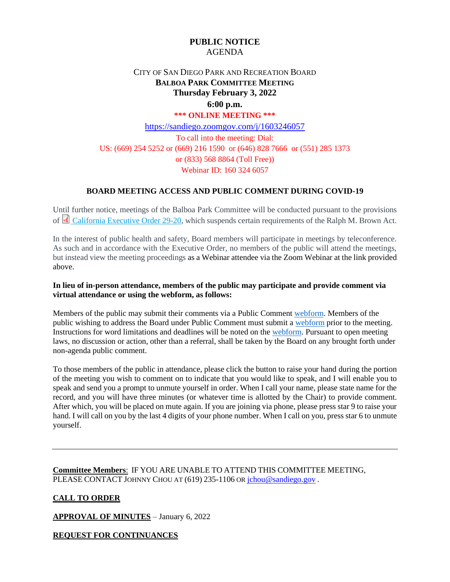# **PUBLIC NOTICE** AGENDA

# CITY OF SAN DIEGO PARK AND RECREATION BOARD **BALBOA PARK COMMITTEE MEETING Thursday February 3, 2022 6:00 p.m.**

#### **\*\*\* ONLINE MEETING \*\*\***

<https://sandiego.zoomgov.com/j/1603246057> To call into the meeting: Dial: US: (669) 254 5252 or (669) 216 1590 or (646) 828 7666 or (551) 285 1373 or (833) 568 8864 (Toll Free)) Webinar ID: 160 324 6057

# **BOARD MEETING ACCESS AND PUBLIC COMMENT DURING COVID-19**

Until further notice, meetings of the Balboa Park Committee will be conducted pursuant to the provisions of [California Executive Order 29-20,](http://www.gov.ca.gov/wp-content/uploads/2020/03/3.17.20-N-29-20-EO.pdf) which suspends certain requirements of the Ralph M. Brown Act.

In the interest of public health and safety, Board members will participate in meetings by teleconference. As such and in accordance with the Executive Order, no members of the public will attend the meetings, but instead view the meeting proceedings as a Webinar attendee via the Zoom Webinar at the link provided above.

# **In lieu of in-person attendance, members of the public may participate and provide comment via virtual attendance or using the webform, as follows:**

Members of the public may submit their comments via a Public Comment [webform.](https://www.sandiego.gov/boards-and-commissions/public-comment) Members of the public wishing to address the Board under Public Comment must submit a [webform](https://www.sandiego.gov/boards-and-commissions/public-comment) prior to the meeting. Instructions for word limitations and deadlines will be noted on the [webform.](https://www.sandiego.gov/boards-and-commissions/public-comment) Pursuant to open meeting laws, no discussion or action, other than a referral, shall be taken by the Board on any brought forth under non-agenda public comment.

To those members of the public in attendance, please click the button to raise your hand during the portion of the meeting you wish to comment on to indicate that you would like to speak, and I will enable you to speak and send you a prompt to unmute yourself in order. When I call your name, please state name for the record, and you will have three minutes (or whatever time is allotted by the Chair) to provide comment. After which, you will be placed on mute again. If you are joining via phone, please press star 9 to raise your hand. I will call on you by the last 4 digits of your phone number. When I call on you, press star 6 to unmute yourself.

**Committee Members**: IF YOU ARE UNABLE TO ATTEND THIS COMMITTEE MEETING, PLEASE CONTACT JOHNNY CHOU AT (619) 235-1106 OR [jchou@sandiego.gov](mailto:jchou@sandiego.gov).

# **CALL TO ORDER**

**APPROVAL OF MINUTES** – January 6, 2022

**REQUEST FOR CONTINUANCES**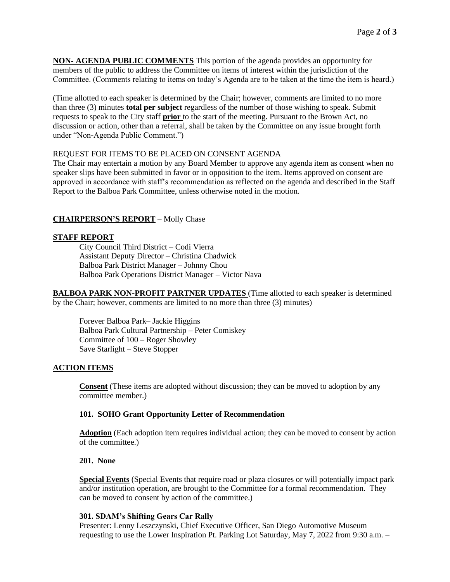**NON- AGENDA PUBLIC COMMENTS** This portion of the agenda provides an opportunity for members of the public to address the Committee on items of interest within the jurisdiction of the Committee. (Comments relating to items on today's Agenda are to be taken at the time the item is heard.)

(Time allotted to each speaker is determined by the Chair; however, comments are limited to no more than three (3) minutes **total per subject** regardless of the number of those wishing to speak. Submit requests to speak to the City staff **prior** to the start of the meeting. Pursuant to the Brown Act, no discussion or action, other than a referral, shall be taken by the Committee on any issue brought forth under "Non-Agenda Public Comment.")

# REQUEST FOR ITEMS TO BE PLACED ON CONSENT AGENDA

The Chair may entertain a motion by any Board Member to approve any agenda item as consent when no speaker slips have been submitted in favor or in opposition to the item. Items approved on consent are approved in accordance with staff's recommendation as reflected on the agenda and described in the Staff Report to the Balboa Park Committee, unless otherwise noted in the motion.

# **CHAIRPERSON'S REPORT** – Molly Chase

# **STAFF REPORT**

City Council Third District – Codi Vierra Assistant Deputy Director – Christina Chadwick Balboa Park District Manager – Johnny Chou Balboa Park Operations District Manager – Victor Nava

**BALBOA PARK NON-PROFIT PARTNER UPDATES** (Time allotted to each speaker is determined by the Chair; however, comments are limited to no more than three (3) minutes)

Forever Balboa Park– Jackie Higgins Balboa Park Cultural Partnership – Peter Comiskey Committee of 100 – Roger Showley Save Starlight – Steve Stopper

# **ACTION ITEMS**

**Consent** (These items are adopted without discussion; they can be moved to adoption by any committee member.)

# **101. SOHO Grant Opportunity Letter of Recommendation**

Adoption (Each adoption item requires individual action; they can be moved to consent by action of the committee.)

# **201. None**

**Special Events** (Special Events that require road or plaza closures or will potentially impact park and/or institution operation, are brought to the Committee for a formal recommendation. They can be moved to consent by action of the committee.)

# **301. SDAM's Shifting Gears Car Rally**

Presenter: Lenny Leszczynski, Chief Executive Officer, San Diego Automotive Museum requesting to use the Lower Inspiration Pt. Parking Lot Saturday, May 7, 2022 from 9:30 a.m. –